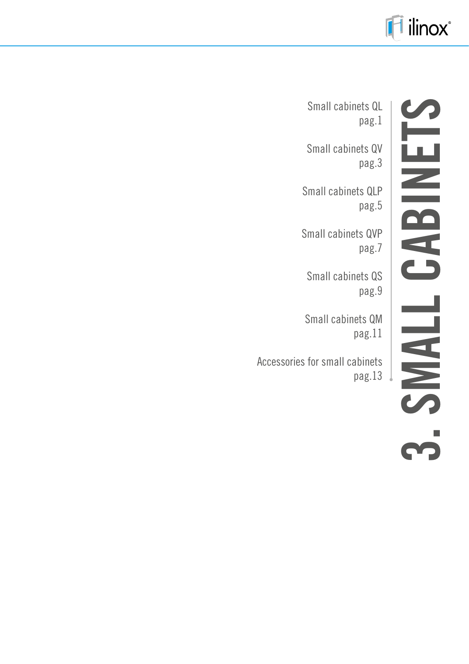

# **3. SMALL CABINETS**  CABINETS **TINNS**

Small cabinets QL pag.1

Small cabinets QV pag.3

Small cabinets QLP pag.5

Small cabinets QVP pag.7

Small cabinets QS pag.9

Small cabinets QM pag.11

Accessories for small cabinets pag.13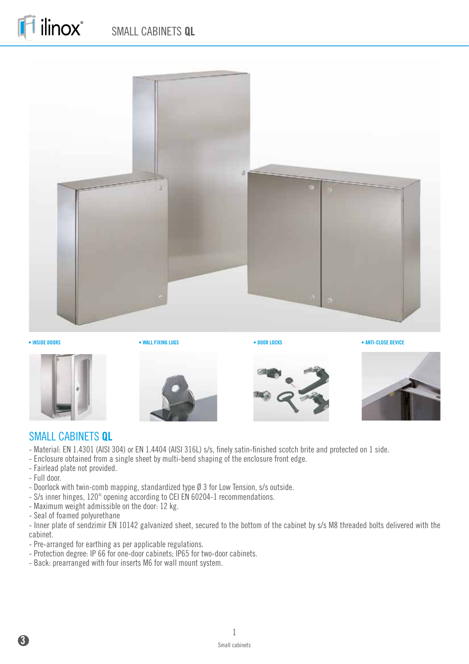# SMALL CABINETS **QL**







ilinox®







#### SMALL CABINETS **QL**

- Material: EN 1.4301 (AISI 304) or EN 1.4404 (AISI 316L) s/s, finely satin-finished scotch brite and protected on 1 side.
- Enclosure obtained from a single sheet by multi-bend shaping of the enclosure front edge.
- Fairlead plate not provided.
- Full door.
- Doorlock with twin-comb mapping, standardized type Ø 3 for Low Tension, s/s outside.
- S/s inner hinges, 120° opening according to CEI EN 60204-1 recommendations.
- Maximum weight admissible on the door: 12 kg.
- Seal of foamed polyurethane

- Inner plate of sendzimir EN 10142 galvanized sheet, secured to the bottom of the cabinet by s/s M8 threaded bolts delivered with the cabinet.

- Pre-arranged for earthing as per applicable regulations.
- Protection degree: IP 66 for one-door cabinets; IP65 for two-door cabinets.
- Back: prearranged with four inserts M6 for wall mount system.

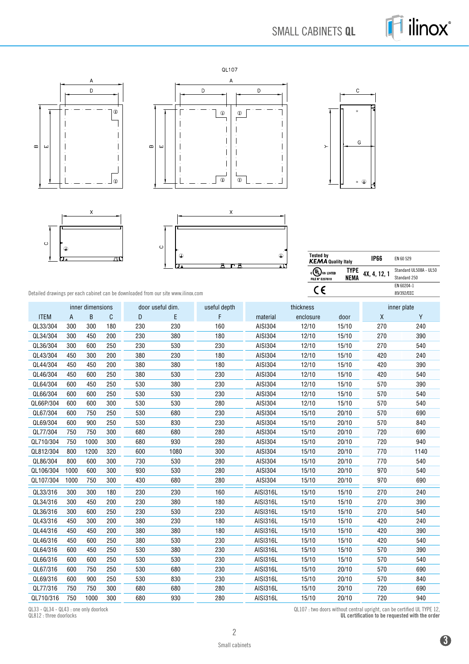# SMALL CABINETS **QL**









| $\circ$ | $\bigoplus$<br>口。 |  | gά |
|---------|-------------------|--|----|



| <b>Tested by</b><br><b>KEMA Quality Italy</b>              |                      | IP66         | FN 60 529                              |
|------------------------------------------------------------|----------------------|--------------|----------------------------------------|
| $_{c}(\Psi$ <sub>Us Listed</sub><br><b>FILE N° E237618</b> | TYPE.<br><b>NEMA</b> | 4X, 4, 12, 1 | Standard UL508A - UL50<br>Standard 250 |
|                                                            |                      |              | FN 60204-1<br>89/392/EEC               |

Detailed drawings per each cabinet can be downloaded from our site www.ilinox.com

|             |              | inner dimensions |     | door useful dim. |      | useful depth |          | thickness |       | inner plate |      |
|-------------|--------------|------------------|-----|------------------|------|--------------|----------|-----------|-------|-------------|------|
| <b>ITEM</b> | $\mathsf{A}$ | B                | C   | D                | E    | F            | material | enclosure | door  | X           | Y    |
| QL33/304    | 300          | 300              | 180 | 230              | 230  | 160          | AISI304  | 12/10     | 15/10 | 270         | 240  |
| QL34/304    | 300          | 450              | 200 | 230              | 380  | 180          | AISI304  | 12/10     | 15/10 | 270         | 390  |
| QL36/304    | 300          | 600              | 250 | 230              | 530  | 230          | AISI304  | 12/10     | 15/10 | 270         | 540  |
| QL43/304    | 450          | 300              | 200 | 380              | 230  | 180          | AISI304  | 12/10     | 15/10 | 420         | 240  |
| QL44/304    | 450          | 450              | 200 | 380              | 380  | 180          | AISI304  | 12/10     | 15/10 | 420         | 390  |
| QL46/304    | 450          | 600              | 250 | 380              | 530  | 230          | AISI304  | 12/10     | 15/10 | 420         | 540  |
| QL64/304    | 600          | 450              | 250 | 530              | 380  | 230          | AISI304  | 12/10     | 15/10 | 570         | 390  |
| QL66/304    | 600          | 600              | 250 | 530              | 530  | 230          | AISI304  | 12/10     | 15/10 | 570         | 540  |
| QL66P/304   | 600          | 600              | 300 | 530              | 530  | 280          | AISI304  | 12/10     | 15/10 | 570         | 540  |
| QL67/304    | 600          | 750              | 250 | 530              | 680  | 230          | AISI304  | 15/10     | 20/10 | 570         | 690  |
| QL69/304    | 600          | 900              | 250 | 530              | 830  | 230          | AISI304  | 15/10     | 20/10 | 570         | 840  |
| QL77/304    | 750          | 750              | 300 | 680              | 680  | 280          | AISI304  | 15/10     | 20/10 | 720         | 690  |
| QL710/304   | 750          | 1000             | 300 | 680              | 930  | 280          | AISI304  | 15/10     | 20/10 | 720         | 940  |
| QL812/304   | 800          | 1200             | 320 | 600              | 1080 | 300          | AISI304  | 15/10     | 20/10 | 770         | 1140 |
| QL86/304    | 800          | 600              | 300 | 730              | 530  | 280          | AISI304  | 15/10     | 20/10 | 770         | 540  |
| QL106/304   | 1000         | 600              | 300 | 930              | 530  | 280          | AISI304  | 15/10     | 20/10 | 970         | 540  |
| QL107/304   | 1000         | 750              | 300 | 430              | 680  | 280          | AISI304  | 15/10     | 20/10 | 970         | 690  |
| QL33/316    | 300          | 300              | 180 | 230              | 230  | 160          | AISI316L | 15/10     | 15/10 | 270         | 240  |
| QL34/316    | 300          | 450              | 200 | 230              | 380  | 180          | AISI316L | 15/10     | 15/10 | 270         | 390  |
| QL36/316    | 300          | 600              | 250 | 230              | 530  | 230          | AISI316L | 15/10     | 15/10 | 270         | 540  |
| QL43/316    | 450          | 300              | 200 | 380              | 230  | 180          | AISI316L | 15/10     | 15/10 | 420         | 240  |
| QL44/316    | 450          | 450              | 200 | 380              | 380  | 180          | AISI316L | 15/10     | 15/10 | 420         | 390  |
| QL46/316    | 450          | 600              | 250 | 380              | 530  | 230          | AISI316L | 15/10     | 15/10 | 420         | 540  |
| QL64/316    | 600          | 450              | 250 | 530              | 380  | 230          | AISI316L | 15/10     | 15/10 | 570         | 390  |
| QL66/316    | 600          | 600              | 250 | 530              | 530  | 230          | AISI316L | 15/10     | 15/10 | 570         | 540  |
| QL67/316    | 600          | 750              | 250 | 530              | 680  | 230          | AISI316L | 15/10     | 20/10 | 570         | 690  |
| QL69/316    | 600          | 900              | 250 | 530              | 830  | 230          | AISI316L | 15/10     | 20/10 | 570         | 840  |
| QL77/316    | 750          | 750              | 300 | 680              | 680  | 280          | AISI316L | 15/10     | 20/10 | 720         | 690  |
| QL710/316   | 750          | 1000             | 300 | 680              | 930  | 280          | AISI316L | 15/10     | 20/10 | 720         | 940  |

QL33 - QL34 - QL43 : one only doorlock QL812 : three doorlocks

QL107 : two doors without central upright, can be certified UL TYPE 12,

UL certification to be requested with the order

**3**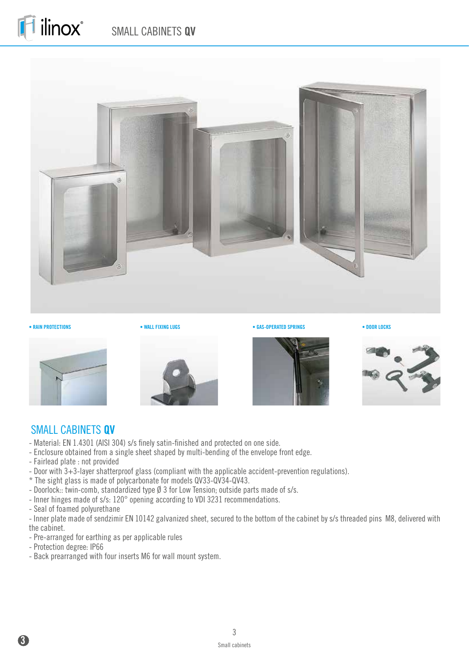# SMALL CABINETS **QV**



ilinox®







**• RAIN PROTECTIONS** • **WALL FIXING LUGS** • **GAS-OPERATED SPRINGS** • **DOOR LOCKS** 





#### SMALL CABINETS **QV**

- Material: EN 1.4301 (AISI 304) s/s finely satin-finished and protected on one side.
- Enclosure obtained from a single sheet shaped by multi-bending of the envelope front edge.
- Fairlead plate : not provided
- Door with 3+3-layer shatterproof glass (compliant with the applicable accident-prevention regulations).
- \* The sight glass is made of polycarbonate for models QV33-QV34-QV43.
- Doorlock: twin-comb, standardized type  $\emptyset$  3 for Low Tension; outside parts made of s/s.
- Inner hinges made of s/s: 120° opening according to VDI 3231 recommendations.
- Seal of foamed polyurethane

- Inner plate made of sendzimir EN 10142 galvanized sheet, secured to the bottom of the cabinet by s/s threaded pins M8, delivered with the cabinet.

- Pre-arranged for earthing as per applicable rules
- Protection degree: IP66
- Back prearranged with four inserts M6 for wall mount system.

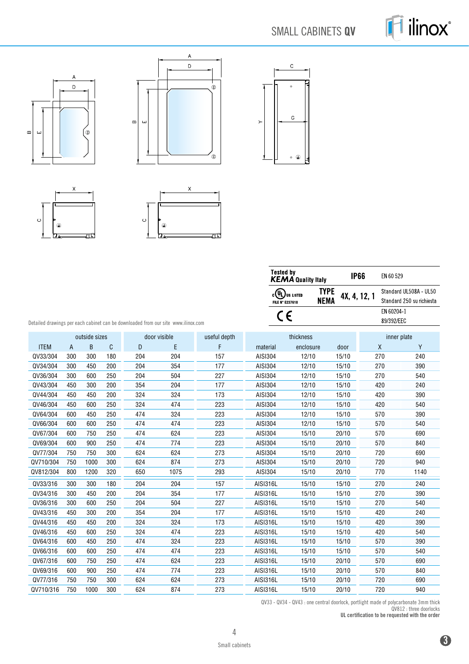# SMALL CABINETS **QV**













| <b>Tested by</b><br><b>KEMA</b> Quality Italy |                     | IP66         | EN 60 529                 |
|-----------------------------------------------|---------------------|--------------|---------------------------|
| $_{c}(\Psi)$<br>us listed                     | <b>TYPE</b><br>NEMA | 4X, 4, 12, 1 | Standard UL508A - UL50    |
| <b>FILE N° E237618</b>                        |                     |              | Standard 250 su richiesta |
|                                               |                     |              | FN 60204-1                |
|                                               |                     |              | 89/392/FFC                |

Detailed drawings per each cabinet can be downloaded from our site www.ilinox.com

|             |                | outside sizes |     | door visible |      | useful depth |                 | thickness |       | inner plate  |      |
|-------------|----------------|---------------|-----|--------------|------|--------------|-----------------|-----------|-------|--------------|------|
| <b>ITEM</b> | $\overline{A}$ | B             | C   | D            | E    | F            | material        | enclosure | door  | $\mathsf{X}$ | Y    |
| QV33/304    | 300            | 300           | 180 | 204          | 204  | 157          | AISI304         | 12/10     | 15/10 | 270          | 240  |
| QV34/304    | 300            | 450           | 200 | 204          | 354  | 177          | AISI304         | 12/10     | 15/10 | 270          | 390  |
| QV36/304    | 300            | 600           | 250 | 204          | 504  | 227          | AISI304         | 12/10     | 15/10 | 270          | 540  |
| QV43/304    | 450            | 300           | 200 | 354          | 204  | 177          | AISI304         | 12/10     | 15/10 | 420          | 240  |
| QV44/304    | 450            | 450           | 200 | 324          | 324  | 173          | AISI304         | 12/10     | 15/10 | 420          | 390  |
| QV46/304    | 450            | 600           | 250 | 324          | 474  | 223          | AISI304         | 12/10     | 15/10 | 420          | 540  |
| QV64/304    | 600            | 450           | 250 | 474          | 324  | 223          | AISI304         | 12/10     | 15/10 | 570          | 390  |
| QV66/304    | 600            | 600           | 250 | 474          | 474  | 223          | AISI304         | 12/10     | 15/10 | 570          | 540  |
| QV67/304    | 600            | 750           | 250 | 474          | 624  | 223          | AISI304         | 15/10     | 20/10 | 570          | 690  |
| QV69/304    | 600            | 900           | 250 | 474          | 774  | 223          | AISI304         | 15/10     | 20/10 | 570          | 840  |
| QV77/304    | 750            | 750           | 300 | 624          | 624  | 273          | AISI304         | 15/10     | 20/10 | 720          | 690  |
| QV710/304   | 750            | 1000          | 300 | 624          | 874  | 273          | AISI304         | 15/10     | 20/10 | 720          | 940  |
| QV812/304   | 800            | 1200          | 320 | 650          | 1075 | 293          | AISI304         | 15/10     | 20/10 | 770          | 1140 |
| QV33/316    | 300            | 300           | 180 | 204          | 204  | 157          | AISI316L        | 15/10     | 15/10 | 270          | 240  |
| QV34/316    | 300            | 450           | 200 | 204          | 354  | 177          | <b>AISI316L</b> | 15/10     | 15/10 | 270          | 390  |
| QV36/316    | 300            | 600           | 250 | 204          | 504  | 227          | <b>AISI316L</b> | 15/10     | 15/10 | 270          | 540  |
| QV43/316    | 450            | 300           | 200 | 354          | 204  | 177          | AISI316L        | 15/10     | 15/10 | 420          | 240  |
| QV44/316    | 450            | 450           | 200 | 324          | 324  | 173          | AISI316L        | 15/10     | 15/10 | 420          | 390  |
| QV46/316    | 450            | 600           | 250 | 324          | 474  | 223          | AISI316L        | 15/10     | 15/10 | 420          | 540  |
| QV64/316    | 600            | 450           | 250 | 474          | 324  | 223          | AISI316L        | 15/10     | 15/10 | 570          | 390  |
| QV66/316    | 600            | 600           | 250 | 474          | 474  | 223          | <b>AISI316L</b> | 15/10     | 15/10 | 570          | 540  |
| QV67/316    | 600            | 750           | 250 | 474          | 624  | 223          | AISI316L        | 15/10     | 20/10 | 570          | 690  |
| QV69/316    | 600            | 900           | 250 | 474          | 774  | 223          | AISI316L        | 15/10     | 20/10 | 570          | 840  |
| QV77/316    | 750            | 750           | 300 | 624          | 624  | 273          | AISI316L        | 15/10     | 20/10 | 720          | 690  |
| QV710/316   | 750            | 1000          | 300 | 624          | 874  | 273          | <b>AISI316L</b> | 15/10     | 20/10 | 720          | 940  |

QV33 - QV34 - QV43 : one central doorlock, portlight made of polycarbonate 3mm thick QV812 : three doorlocks

UL certification to be requested with the order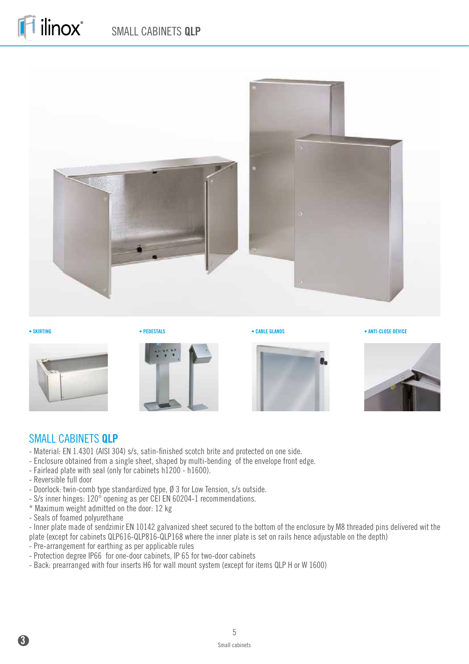













#### SMALL CABINETS **QLP**

- Material: EN 1.4301 (AISI 304) s/s, satin-finished scotch brite and protected on one side.
- Enclosure obtained from a single sheet, shaped by multi-bending of the envelope front edge.
- Fairlead plate with seal (only for cabinets h1200 h1600).
- Reversible full door
- Doorlock: twin-comb type standardized type, Ø 3 for Low Tension, s/s outside.
- S/s inner hinges: 120° opening as per CEI EN 60204-1 recommendations.
- \* Maximum weight admitted on the door: 12 kg
- Seals of foamed polyurethane

- Inner plate made of sendzimir EN 10142 galvanized sheet secured to the bottom of the enclosure by M8 threaded pins delivered wit the plate (except for cabinets QLP616-QLP816-QLP168 where the inner plate is set on rails hence adjustable on the depth)

- Pre-arrangement for earthing as per applicable rules
- Protection degree IP66 for one-door cabinets, IP 65 for two-door cabinets
- Back: prearranged with four inserts H6 for wall mount system (except for items QLP H or W 1600)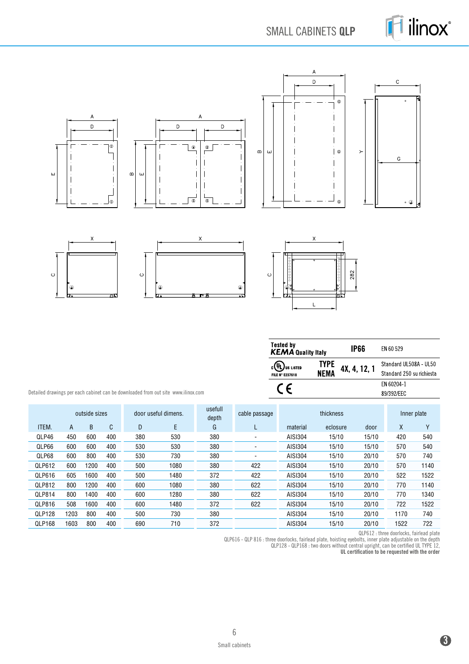

SMALL CABINETS **QLP**



| <b>Tested by</b><br><b>KEMA</b> Quality Italy   |              | IP66         | FN 60 529                                           |
|-------------------------------------------------|--------------|--------------|-----------------------------------------------------|
| $c(\Psi L)$ us listed<br><b>FILE N° E237618</b> | TYPE<br>NEMA | 4X, 4, 12, 1 | Standard UL508A - UL50<br>Standard 250 su richiesta |
|                                                 |              |              | FN 60204-1<br>89/392/FFC                            |

Detailed drawings per each cabinet can be downloaded from out site www.ilinox.com

|               | outside sizes |      |     | door useful dimens. |      | usefull<br>depth | cable passage | thickness |          |       | Inner plate |        |
|---------------|---------------|------|-----|---------------------|------|------------------|---------------|-----------|----------|-------|-------------|--------|
| ITEM.         | A             | B    | C   | D                   | E    | G                | ட             | material  | eclosure | door  | X           | $\vee$ |
| QLP46         | 450           | 600  | 400 | 380                 | 530  | 380              | ۰             | AISI304   | 15/10    | 15/10 | 420         | 540    |
| QLP66         | 600           | 600  | 400 | 530                 | 530  | 380              | ٠             | AISI304   | 15/10    | 15/10 | 570         | 540    |
| QLP68         | 600           | 800  | 400 | 530                 | 730  | 380              |               | AISI304   | 15/10    | 20/10 | 570         | 740    |
| QLP612        | 600           | 1200 | 400 | 500                 | 1080 | 380              | 422           | AISI304   | 15/10    | 20/10 | 570         | 1140   |
| QLP616        | 605           | 1600 | 400 | 500                 | 1480 | 372              | 422           | AISI304   | 15/10    | 20/10 | 522         | 1522   |
| QLP812        | 800           | 1200 | 400 | 600                 | 1080 | 380              | 622           | AISI304   | 15/10    | 20/10 | 770         | 1140   |
| QLP814        | 800           | 1400 | 400 | 600                 | 1280 | 380              | 622           | AISI304   | 15/10    | 20/10 | 770         | 1340   |
| QLP816        | 508           | 1600 | 400 | 600                 | 1480 | 372              | 622           | AISI304   | 15/10    | 20/10 | 722         | 1522   |
| <b>QLP128</b> | 1203          | 800  | 400 | 500                 | 730  | 380              |               | AISI304   | 15/10    | 20/10 | 1170        | 740    |
| QLP168        | 1603          | 800  | 400 | 690                 | 710  | 372              |               | AISI304   | 15/10    | 20/10 | 1522        | 722    |

QLP612 : three doorlocks, fairlead plate

QLP616 - QLP 816 : three doorlocks, fairlead plate, hoisting eyebolts, inner plate adjustable on the depth QLP128 - QLP168 : two doors without central upright, can be certified UL TYPE 12,

UL certification to be requested with the order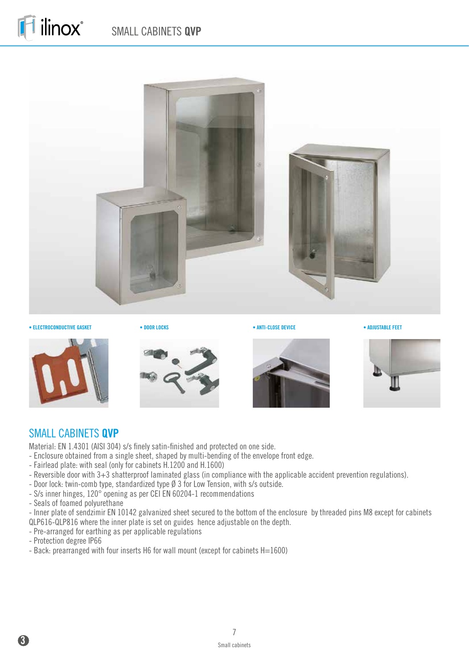

• **ELECTROCONDUCTIVE GASKET** • **DOOR LOCKS** • **ANTI-CLOSE DEVICE** • **ADJUSTABLE FEET** 











#### SMALL CABINETS **QVP**

Material: EN 1.4301 (AISI 304) s/s finely satin-finished and protected on one side.

- Enclosure obtained from a single sheet, shaped by multi-bending of the envelope front edge.
- Fairlead plate: with seal (only for cabinets H.1200 and H.1600)
- Reversible door with 3+3 shatterproof laminated glass (in compliance with the applicable accident prevention regulations).
- Door lock: twin-comb type, standardized type Ø 3 for Low Tension, with s/s outside.
- S/s inner hinges, 120° opening as per CEI EN 60204-1 recommendations
- Seals of foamed polyurethane

- Inner plate of sendzimir EN 10142 galvanized sheet secured to the bottom of the enclosure by threaded pins M8 except for cabinets QLP616-QLP816 where the inner plate is set on guides hence adjustable on the depth.

- Pre-arranged for earthing as per applicable regulations
- Protection degree IP66
- Back: prearranged with four inserts H6 for wall mount (except for cabinets H=1600)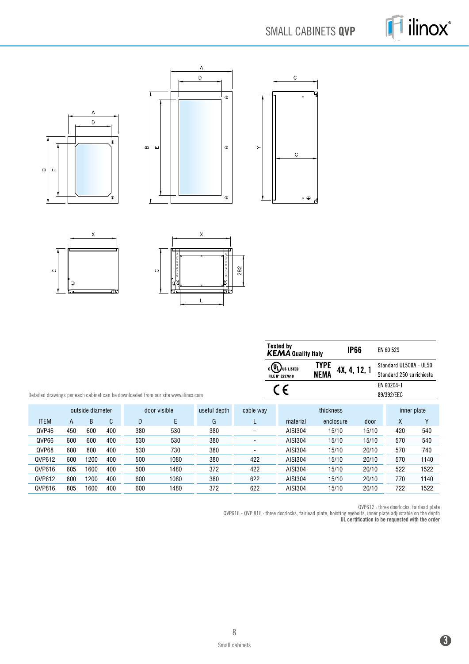# SMALL CABINETS **QVP**





 $\circ$ 

 $\circ$ 

۱

|             |                                                  |      |     |     |                                                                                   |           |     | <b>Tested by</b><br><b>KEMA Quality Italy</b>                       |                     | <b>IP66</b>  | EN 60 529                                           |      |
|-------------|--------------------------------------------------|------|-----|-----|-----------------------------------------------------------------------------------|-----------|-----|---------------------------------------------------------------------|---------------------|--------------|-----------------------------------------------------|------|
|             |                                                  |      |     |     |                                                                                   |           |     | $_{c}(\mathsf{U}_{\mathsf{L}})$ us listed<br><b>FILE N° E237618</b> | <b>TYPE</b><br>NEMA | 4X, 4, 12, 1 | Standard UL508A - UL50<br>Standard 250 su richiesta |      |
|             |                                                  |      |     |     | Detailed drawings per each cabinet can be downloaded from our site www.ilinox.com |           |     | CΕ                                                                  |                     |              | EN 60204-1<br>89/392/EEC                            |      |
|             | door visible<br>useful depth<br>outside diameter |      |     |     |                                                                                   | cable way |     | thickness                                                           |                     |              | inner plate                                         |      |
| <b>ITEM</b> | A                                                | B    | C   | D   | E                                                                                 | G         | L   | material                                                            | enclosure           | door         | $\mathsf{X}$                                        | Υ    |
| QVP46       | 450                                              | 600  | 400 | 380 | 530                                                                               | 380       | ۰   | AISI304                                                             | 15/10               | 15/10        | 420                                                 | 540  |
| QVP66       | 600                                              | 600  | 400 | 530 | 530                                                                               | 380       |     | AISI304                                                             | 15/10               | 15/10        | 570                                                 | 540  |
| QVP68       | 600                                              | 800  | 400 | 530 | 730                                                                               | 380       |     | AISI304                                                             | 15/10               | 20/10        | 570                                                 | 740  |
| QVP612      | 600                                              | 1200 | 400 | 500 | 1080                                                                              | 380       | 422 | AISI304                                                             | 15/10               | 20/10        | 570                                                 | 1140 |
| QVP616      | 605                                              | 1600 | 400 | 500 | 1480                                                                              | 372       | 422 | AISI304                                                             | 15/10               | 20/10        | 522                                                 | 1522 |
| QVP812      | 800                                              | 1200 | 400 | 600 | 1080                                                                              | 380       | 622 | AISI304                                                             | 15/10               | 20/10        | 770                                                 | 1140 |
| QVP816      | 805                                              | 1600 | 400 | 600 | 1480                                                                              | 372       | 622 | AISI304                                                             | 15/10               | 20/10        | 722                                                 | 1522 |

282

 $\overline{L}$ 

QVP612 : three doorlocks, fairlead plate

QVP616 - QVP 816 : three doorlocks, fairlead plate, hoisting eyebolts, inner plate adjustable on the depth UL certification to be requested with the order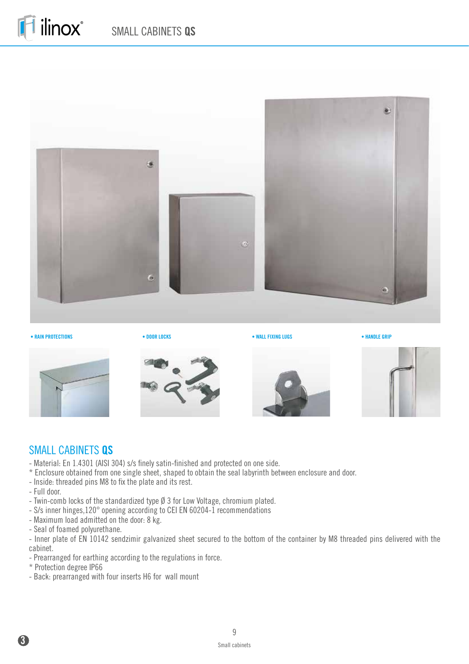

**• RAIN PROTECTIONS** • **DOOR LOCKS** • **WALL FIXING LUGS** • **HANDLE GRIP**











#### SMALL CABINETS **QS**

- Material: En 1.4301 (AISI 304) s/s finely satin-finished and protected on one side.
- \* Enclosure obtained from one single sheet, shaped to obtain the seal labyrinth between enclosure and door.
- Inside: threaded pins M8 to fix the plate and its rest.
- Full door.
- Twin-comb locks of the standardized type Ø 3 for Low Voltage, chromium plated.
- S/s inner hinges,120° opening according to CEI EN 60204-1 recommendations
- Maximum load admitted on the door: 8 kg.
- Seal of foamed polyurethane.

- Inner plate of EN 10142 sendzimir galvanized sheet secured to the bottom of the container by M8 threaded pins delivered with the cabinet.

- Prearranged for earthing according to the regulations in force.
- \* Protection degree IP66
- Back: prearranged with four inserts H6 for wall mount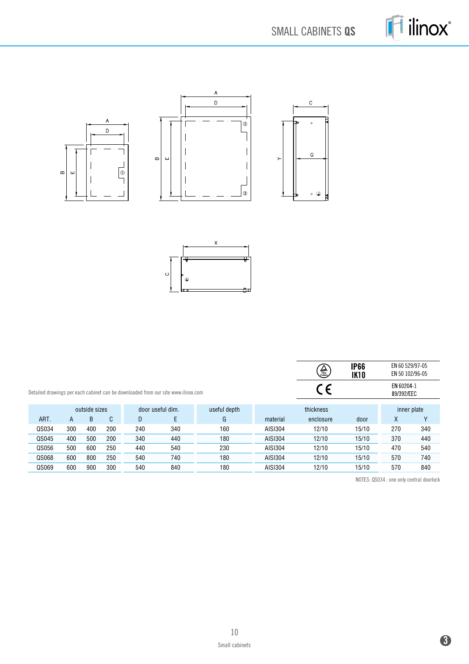





|       |     |               |     |     |                                                                                   |              |          | $\bigoplus_{i=1}^n$ | <b>IP66</b><br><b>IK10</b> | EN 60 529/97-05<br>EN 50 102/96-05 |     |
|-------|-----|---------------|-----|-----|-----------------------------------------------------------------------------------|--------------|----------|---------------------|----------------------------|------------------------------------|-----|
|       |     |               |     |     | Detailed drawings per each cabinet can be downloaded from our site www.ilinox.com |              |          | C E                 |                            | EN 60204-1<br>89/392/EEC           |     |
|       |     | outside sizes |     |     | door useful dim.                                                                  | useful depth |          | thickness           |                            | inner plate                        |     |
| ART.  | A   | B             | C   | D   | E                                                                                 | G            | material | enclosure           | door                       | X                                  | v   |
| QS034 | 300 | 400           | 200 | 240 | 340                                                                               | 160          | AISI304  | 12/10               | 15/10                      | 270                                | 340 |
| QS045 | 400 | 500           | 200 | 340 | 440                                                                               | 180          | AISI304  | 12/10               | 15/10                      | 370                                | 440 |
| QS056 | 500 | 600           | 250 | 440 | 540                                                                               | 230          | AISI304  | 12/10               | 15/10                      | 470                                | 540 |
| QS068 | 600 | 800           | 250 | 540 | 740                                                                               | 180          | AISI304  | 12/10               | 15/10                      | 570                                | 740 |
| QS069 | 600 | 900           | 300 | 540 | 840                                                                               | 180          | AISI304  | 12/10               | 15/10                      | 570                                | 840 |

NOTES: QS034 : one only central doorlock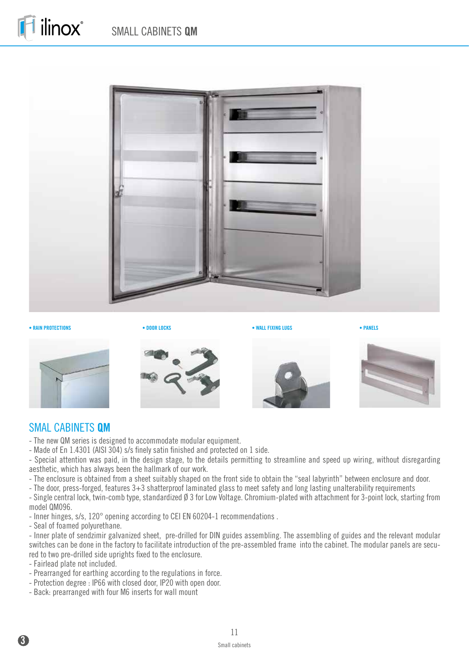

**• RAIN PROTECTIONS** • **DOOR LOCKS** • **WALL FIXING LUGS** • **PANELS**

ilinox®











#### SMAL CABINETS **QM**

- The new QM series is designed to accommodate modular equipment.

- Made of En 1.4301 (AISI 304) s/s finely satin finished and protected on 1 side.

- Special attention was paid, in the design stage, to the details permitting to streamline and speed up wiring, without disregarding aesthetic, which has always been the hallmark of our work.

- The enclosure is obtained from a sheet suitably shaped on the front side to obtain the "seal labyrinth" between enclosure and door.

- The door, press-forged, features 3+3 shatterproof laminated glass to meet safety and long lasting unalterability requirements

- Single central lock, twin-comb type, standardized Ø 3 for Low Voltage. Chromium-plated with attachment for 3-point lock, starting from model QM096.

- Inner hinges, s/s, 120° opening according to CEI EN 60204-1 recommendations .

- Seal of foamed polyurethane.

- Inner plate of sendzimir galvanized sheet, pre-drilled for DIN guides assembling. The assembling of guides and the relevant modular switches can be done in the factory to facilitate introduction of the pre-assembled frame into the cabinet. The modular panels are secured to two pre-drilled side uprights fixed to the enclosure.

- Fairlead plate not included.

- Prearranged for earthing according to the regulations in force.
- Protection degree : IP66 with closed door, IP20 with open door.
- Back: prearranged with four M6 inserts for wall mount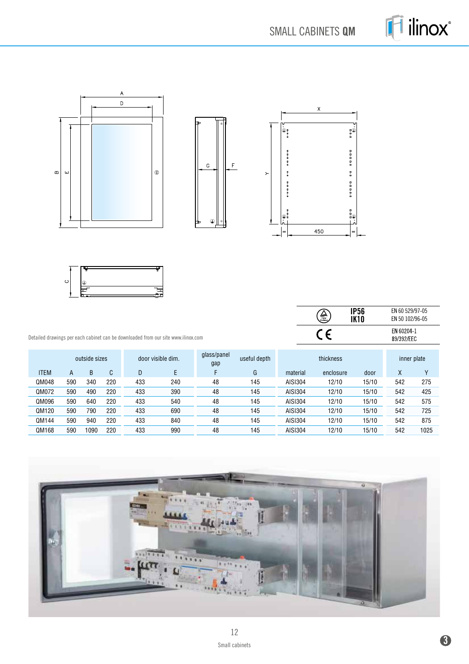SMALL CABINETS **QM**







 $\overline{\frac{\textcircled{\tiny{\textcircled{\tiny \textcirc}}}}{\text{CE}}}$ **IP56** EN 60 529/97-05 **IK10** EN 50 102/96-05 EN 60204-1<br>89/392/EEC

Detailed drawings per each cabinet can be downloaded from our site www.ilinox.com

|             | outside sizes |      |     |     | door visible dim. | glass/panel<br>gap | useful depth |          | thickness |       |     | inner plate |
|-------------|---------------|------|-----|-----|-------------------|--------------------|--------------|----------|-----------|-------|-----|-------------|
| <b>ITEM</b> | A             | B    | C   | D   |                   |                    | G            | material | enclosure | door  | Χ   | ν           |
| QM048       | 590           | 340  | 220 | 433 | 240               | 48                 | 145          | AISI304  | 12/10     | 15/10 | 542 | 275         |
| QM072       | 590           | 490  | 220 | 433 | 390               | 48                 | 145          | AISI304  | 12/10     | 15/10 | 542 | 425         |
| QM096       | 590           | 640  | 220 | 433 | 540               | 48                 | 145          | AISI304  | 12/10     | 15/10 | 542 | 575         |
| QM120       | 590           | 790  | 220 | 433 | 690               | 48                 | 145          | AISI304  | 12/10     | 15/10 | 542 | 725         |
| QM144       | 590           | 940  | 220 | 433 | 840               | 48                 | 145          | AISI304  | 12/10     | 15/10 | 542 | 875         |
| QM168       | 590           | 1090 | 220 | 433 | 990               | 48                 | 145          | AISI304  | 12/10     | 15/10 | 542 | 1025        |

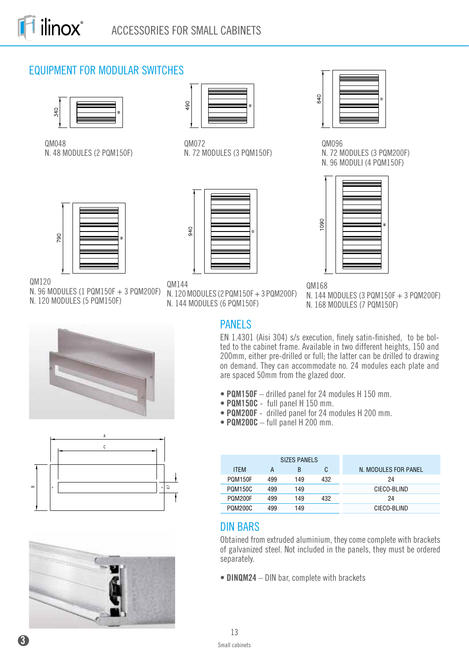# EQUIPMENT FOR MODULAR SWITCHES



QM048 N. 48 MODULES (2 PQM150F)



QM120

N. 96 MODULES (1 PQM150F + 3 PQM200F) N. 120 MODULES (5 PQM150F)



QM072 N. 72 MODULES (3 PQM150F)



QM144

N. 120 MODULES (2 PQM150F + 3 PQM200F) N. 144 MODULES (6 PQM150F)

QM168 N. 144 MODULES (3 PQM150F + 3 PQM200F) N. 168 MODULES (7 PQM150F)







PANELS

EN 1.4301 (Aisi 304) s/s execution, finely satin-finished, to be bolted to the cabinet frame. Available in two different heights, 150 and 200mm, either pre-drilled or full; the latter can be drilled to drawing on demand. They can accommodate no. 24 modules each plate and are spaced 50mm from the glazed door.

QM096

090

640

N. 72 MODULES (3 PQM200F) N. 96 MODULI (4 PQM150F)

- **PQM150F** drilled panel for 24 modules H 150 mm.
- • **PQM150C** full panel H 150 mm.
- • **PQM200F** drilled panel for 24 modules H 200 mm.
- • **PQM200C** full panel H 200 mm.

|                |     | SIZES PANELS |     |                      |
|----------------|-----|--------------|-----|----------------------|
| <b>ITFM</b>    | A   | B            | C   | N. MODULES FOR PANEL |
| <b>POM150F</b> | 499 | 149          | 432 | 24                   |
| <b>POM150C</b> | 499 | 149          |     | CIECO-BLIND          |
| POM200F        | 499 | 149          | 432 | 24                   |
| <b>POM200C</b> | 499 | 149          |     | CIECO-BLIND          |

# DIN BARS

Obtained from extruded aluminium, they come complete with brackets of galvanized steel. Not included in the panels, they must be ordered separately.

**• DINQM24** – DIN bar, complete with brackets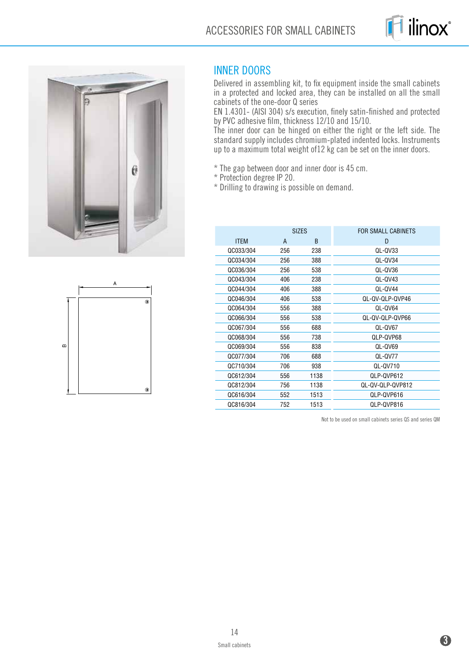





#### INNER DOORS

Delivered in assembling kit, to fix equipment inside the small cabinets in a protected and locked area, they can be installed on all the small cabinets of the one-door Q series

EN 1.4301- (AISI 304) s/s execution, finely satin-finished and protected by PVC adhesive film, thickness 12/10 and 15/10.

The inner door can be hinged on either the right or the left side. The standard supply includes chromium-plated indented locks. Instruments up to a maximum total weight of12 kg can be set on the inner doors.

\* The gap between door and inner door is 45 cm.

\* Protection degree IP 20.

\* Drilling to drawing is possible on demand.

|             | <b>SIZES</b> |              | FOR SMALL CABINETS |
|-------------|--------------|--------------|--------------------|
| <b>ITEM</b> | A            | <sub>B</sub> | D                  |
| QC033/304   | 256          | 238          | QL-QV33            |
| QC034/304   | 256          | 388          | QL-QV34            |
| QC036/304   | 256          | 538          | QL-QV36            |
| QC043/304   | 406          | 238          | QL-QV43            |
| QC044/304   | 406          | 388          | QL-QV44            |
| QC046/304   | 406          | 538          | QL-QV-QLP-QVP46    |
| QC064/304   | 556          | 388          | QL-QV64            |
| QC066/304   | 556          | 538          | QL-QV-QLP-QVP66    |
| QC067/304   | 556          | 688          | QL-QV67            |
| QC068/304   | 556          | 738          | QLP-QVP68          |
| QC069/304   | 556          | 838          | QL-QV69            |
| QC077/304   | 706          | 688          | QL-QV77            |
| QC710/304   | 706          | 938          | QL-QV710           |
| QC612/304   | 556          | 1138         | QLP-QVP612         |
| QC812/304   | 756          | 1138         | QL-QV-QLP-QVP812   |
| QC616/304   | 552          | 1513         | QLP-QVP616         |
| QC816/304   | 752          | 1513         | QLP-QVP816         |

Not to be used on small cabinets series QS and series QM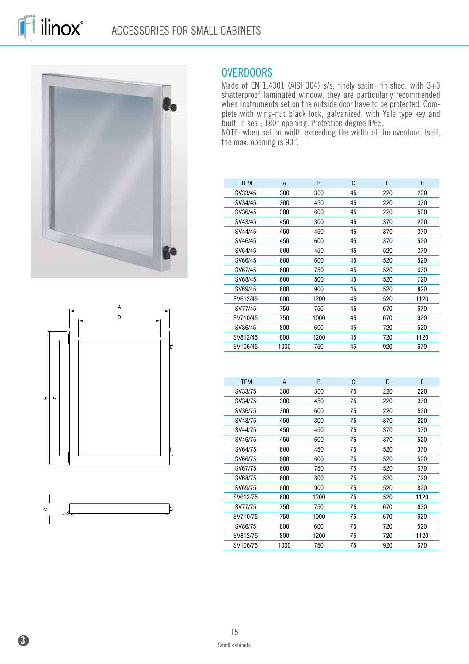





#### OVERDOORS

Made of EN 1.4301 (AISI 304) s/s, finely satin- finished, with 3+3 shatterproof laminated window, they are particularly recommended when instruments set on the outside door have to be protected. Complete with wing-nut black lock, galvanized, with Yale type key and built-in seal; 180° opening. Protection degree IP65.

NOTE: when set on width exceeding the width of the overdoor itself, the max. opening is 90°.

| <b>ITEM</b> | A    | <sub>R</sub> | C  | D   | F    |
|-------------|------|--------------|----|-----|------|
| SV33/45     | 300  | 300          | 45 | 220 | 220  |
| SV34/45     | 300  | 450          | 45 | 220 | 370  |
| SV36/45     | 300  | 600          | 45 | 220 | 520  |
| SV43/45     | 450  | 300          | 45 | 370 | 220  |
| SV44/45     | 450  | 450          | 45 | 370 | 370  |
| SV46/45     | 450  | 600          | 45 | 370 | 520  |
| SV64/45     | 600  | 450          | 45 | 520 | 370  |
| SV66/45     | 600  | 600          | 45 | 520 | 520  |
| SV67/45     | 600  | 750          | 45 | 520 | 670  |
| SV68/45     | 600  | 800          | 45 | 520 | 720  |
| SV69/45     | 600  | 900          | 45 | 520 | 820  |
| SV612/45    | 600  | 1200         | 45 | 520 | 1120 |
| SV77/45     | 750  | 750          | 45 | 670 | 670  |
| SV710/45    | 750  | 1000         | 45 | 670 | 920  |
| SV86/45     | 800  | 600          | 45 | 720 | 520  |
| SV812/45    | 800  | 1200         | 45 | 720 | 1120 |
| SV106/45    | 1000 | 750          | 45 | 920 | 670  |

| <b>ITEM</b> | A    | B    | C  | D   | F    |
|-------------|------|------|----|-----|------|
| SV33/75     | 300  | 300  | 75 | 220 | 220  |
| SV34/75     | 300  | 450  | 75 | 220 | 370  |
| SV36/75     | 300  | 600  | 75 | 220 | 520  |
| SV43/75     | 450  | 300  | 75 | 370 | 220  |
| SV44/75     | 450  | 450  | 75 | 370 | 370  |
| SV46/75     | 450  | 600  | 75 | 370 | 520  |
| SV64/75     | 600  | 450  | 75 | 520 | 370  |
| SV66/75     | 600  | 600  | 75 | 520 | 520  |
| SV67/75     | 600  | 750  | 75 | 520 | 670  |
| SV68/75     | 600  | 800  | 75 | 520 | 720  |
| SV69/75     | 600  | 900  | 75 | 520 | 820  |
| SV612/75    | 600  | 1200 | 75 | 520 | 1120 |
| SV77/75     | 750  | 750  | 75 | 670 | 670  |
| SV710/75    | 750  | 1000 | 75 | 670 | 920  |
| SV86/75     | 800  | 600  | 75 | 720 | 520  |
| SV812/75    | 800  | 1200 | 75 | 720 | 1120 |
| SV106/75    | 1000 | 750  | 75 | 920 | 670  |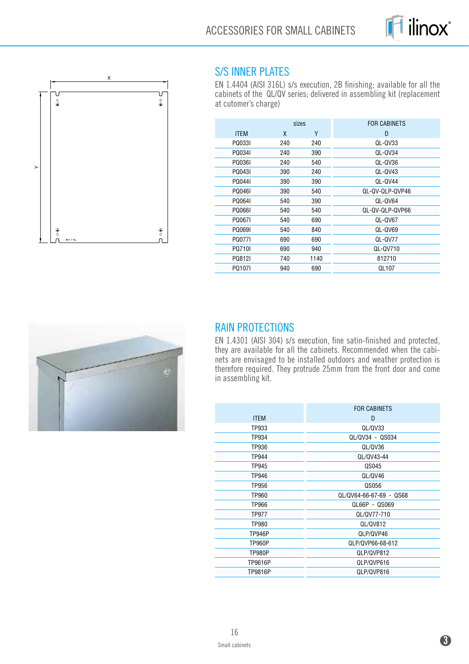



#### S/S INNER PLATES

EN 1.4404 (AISI 316L) s/s execution, 2B finishing; available for all the cabinets of the QL/QV series; delivered in assembling kit (replacement at cutomer's charge)

|     |      | <b>FOR CABINETS</b> |
|-----|------|---------------------|
| X   | Υ    | D                   |
| 240 | 240  | QL-QV33             |
| 240 | 390  | QL-QV34             |
| 240 | 540  | QL-QV36             |
| 390 | 240  | QL-QV43             |
| 390 | 390  | QL-QV44             |
| 390 | 540  | QL-QV-QLP-QVP46     |
| 540 | 390  | QL-QV64             |
| 540 | 540  | QL-QV-QLP-QVP66     |
| 540 | 690  | QL-QV67             |
| 540 | 840  | QL-QV69             |
| 690 | 690  | QL-QV77             |
| 690 | 940  | QL-QV710            |
| 740 | 1140 | 812710              |
| 940 | 690  | QL107               |
|     |      | sizes               |



# RAIN PROTECTIONS

EN 1.4301 (AISI 304) s/s execution, fine satin-finished and protected, they are available for all the cabinets. Recommended when the cabinets are envisaged to be installed outdoors and weather protection is therefore required. They protrude 25mm from the front door and come in assembling kit.

|               | <b>FOR CABINETS</b>     |
|---------------|-------------------------|
| <b>ITEM</b>   | D                       |
| TP933         | QL/QV33                 |
| TP934         | QL/QV34 - QS034         |
| TP936         | QL/QV36                 |
| TP944         | QL/QV43-44              |
| TP945         | QS045                   |
| TP946         | QL/QV46                 |
| TP956         | QS056                   |
| TP960         | QL/QV64-66-67-69 - QS68 |
| TP966         | QL66P - QS069           |
| TP977         | QL/QV77-710             |
| TP980         | QL/QV812                |
| <b>TP946P</b> | QLP/QVP46               |
| <b>TP960P</b> | QLP/QVP66-68-612        |
| <b>TP980P</b> | QLP/QVP812              |
| TP9616P       | QLP/QVP616              |
| TP9816P       | QLP/QVP816              |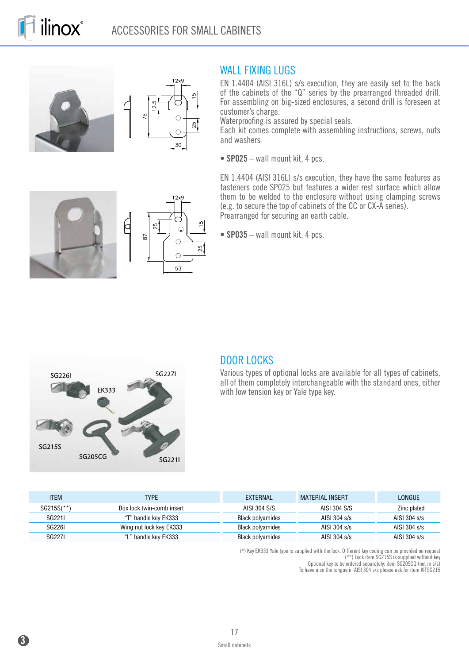



 $12x<sup>c</sup>$ 

 $\bigoplus$ 

 $\circ$ 

 $\circ$ 53

 $\frac{5}{2}$ 

 $\overline{5}$ 

 $\frac{5}{1}$ 

 $25$ 

#### WALL FIXING LUGS

EN 1.4404 (AISI 316L) s/s execution, they are easily set to the back of the cabinets of the "Q" series by the prearranged threaded drill. For assembling on big-sized enclosures, a second drill is foreseen at customer's charge.

Waterproofing is assured by special seals.

Each kit comes complete with assembling instructions, screws, nuts and washers

**• SP025** – wall mount kit, 4 pcs.

EN 1.4404 (AISI 316L) s/s execution, they have the same features as fasteners code SP025 but features a wider rest surface which allow them to be welded to the enclosure without using clamping screws (e.g. to secure the top of cabinets of the CC or CX-A series). Prearranged for securing an earth cable.

**• SP035** – wall mount kit, 4 pcs.



 $\Box$ 

#### DOOR LOCKS

Various types of optional locks are available for all types of cabinets, all of them completely interchangeable with the standard ones, either with low tension key or Yale type key.

| <b>ITEM</b> | <b>TYPE</b>               | EXTERNAL         | <b>MATERIAL INSERT</b> | LONGUE         |
|-------------|---------------------------|------------------|------------------------|----------------|
| SG215S(**)  | Box lock twin-comb insert | AISI 304 S/S     | AISI 304 S/S           | Zinc plated    |
| SG2211      | "T" handle key EK333      | Black polyamides | AISI 304 s/s           | AISI 304 s/s   |
| SG2261      | Wing nut lock key EK333   | Black polyamides | AISI 304 s/s           | AISI 304 $s/s$ |
| SG2271      | "L" handle key EK333      | Black polyamides | AISI 304 s/s           | AISI 304 s/s   |

(\*) Key EK333 Yale type is supplied with the lock. Different key coding can be provided on request

(\*\*) Lock item SG215S is supplied without key

Optional key to be ordered separately: item SG205CG (not in s/s)

To have also the tongue in AISI 304 s/s please ask for item KITSG215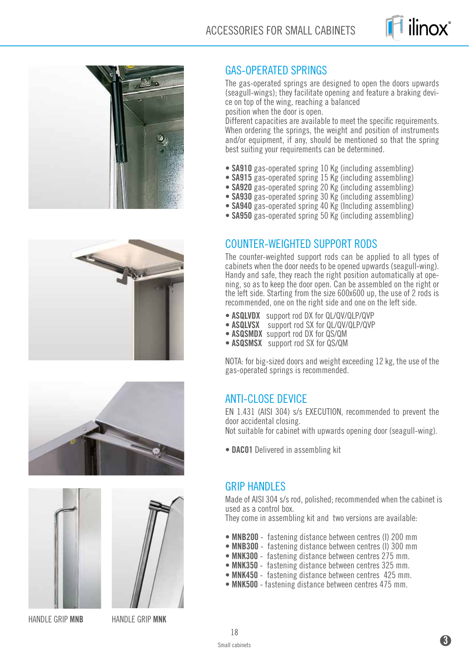











HANDLE GRIP **MNB** HANDLE GRIP **MNK**

# GAS-OPERATED SPRINGS

The gas-operated springs are designed to open the doors upwards (seagull-wings); they facilitate opening and feature a braking device on top of the wing, reaching a balanced

position when the door is open.

Different capacities are available to meet the specific requirements. When ordering the springs, the weight and position of instruments and/or equipment, if any, should be mentioned so that the spring best suiting your requirements can be determined.

- **SA910** gas-operated spring 10 Kg (including assembling)
- **SA915** gas-operated spring 15 Kg (including assembling)
- **SA920** gas-operated spring 20 Kg (including assembling)
- **SA930** gas-operated spring 30 Kg (including assembling)
- **SA940** gas-operated spring 40 Kg (Including assembling)
- **SA950** gas-operated spring 50 Kg (including assembling)

#### COUNTER-WEIGHTED SUPPORT RODS

The counter-weighted support rods can be applied to all types of cabinets when the door needs to be opened upwards (seagull-wing).<br>Handy and safe, they reach the right position automatically at opening, so as to keep the door open. Can be assembled on the right or the left side. Starting from the size 600x600 up, the use of 2 rods is recommended, one on the right side and one on the left side.

- **ASQLVDX** support rod DX for QL/QV/QLP/QVP  **ASQLVSX** support rod SX for QL/QV/QLP/QVP  **ASQSMDX** support rod DX for QS/QM  **ASQSMSX** support rod SX for QS/QM
- 
- 
- 

NOTA: for big-sized doors and weight exceeding 12 kg, the use of the gas-operated springs is recommended.

#### ANTI-CLOSE DEVICE

EN 1.431 (AISI 304) s/s EXECUTION, recommended to prevent the door accidental closing.

Not suitable for cabinet with upwards opening door (seagull-wing).

**• DAC01** Delivered in assembling kit

#### **GRIP HANDLES**

Made of AISI 304 s/s rod, polished; recommended when the cabinet is used as a control box.

They come in assembling kit and two versions are available:

- **MNB200** fastening distance between centres (I) 200 mm
- **MNB300**  fastening distance between centres (I) 300 mm
- **MNK300** fastening distance between centres 275 mm.
- **MNK350**  fastening distance between centres 325 mm.
- **MNK450**  fastening distance between centres 425 mm.
- **MNK500**  fastening distance between centres 475 mm.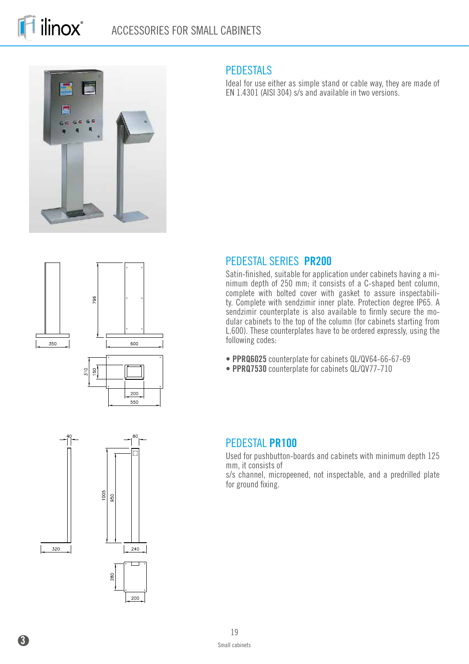



#### **PEDESTALS**

Ideal for use either as simple stand or cable way, they are made of EN 1.4301 (AISI 304) s/s and available in two versions.









Satin-finished, suitable for application under cabinets having a minimum depth of 250 mm; it consists of a C-shaped bent column, complete with bolted cover with gasket to assure inspectability. Complete with sendzimir inner plate. Protection degree IP65. A sendzimir counterplate is also available to firmly secure the modular cabinets to the top of the column (for cabinets starting from L.600). These counterplates have to be ordered expressly, using the following codes:

- **PPRQ6025** counterplate for cabinets QL/QV64-66-67-69
- **PPRQ7530** counterplate for cabinets QL/QV77-710

#### PEDESTAL **PR100**

Used for pushbutton-boards and cabinets with minimum depth 125 mm, it consists of

s/s channel, micropeened, not inspectable, and a predrilled plate for ground fixing.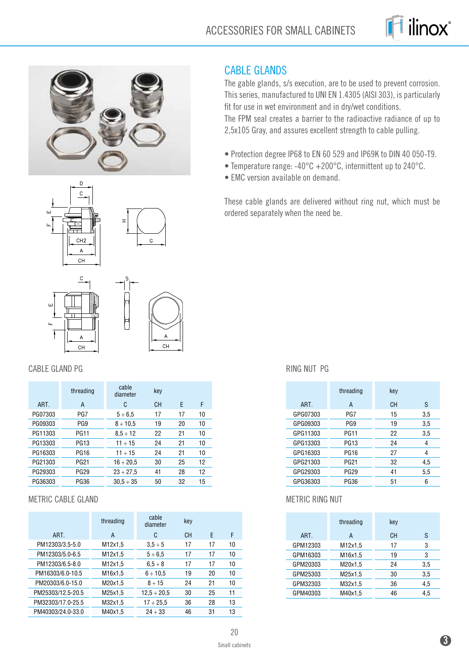









 $CH$ 

#### CABLE GLAND PG

ī.

|         | threading       | cable<br>diameter | key       |    |    |
|---------|-----------------|-------------------|-----------|----|----|
| ART.    | A               | C                 | <b>CH</b> | F  | F  |
| PG07303 | PG7             | $5 \div 6.5$      | 17        | 17 | 10 |
| PG09303 | PG <sub>9</sub> | $8 \div 10.5$     | 19        | 20 | 10 |
| PG11303 | <b>PG11</b>     | $8.5 \div 12$     | 22        | 21 | 10 |
| PG13303 | <b>PG13</b>     | $11 \div 15$      | 24        | 21 | 10 |
| PG16303 | <b>PG16</b>     | $11 \div 15$      | 24        | 21 | 10 |
| PG21303 | <b>PG21</b>     | $16 \div 20.5$    | 30        | 25 | 12 |
| PG29303 | <b>PG29</b>     | $23 \div 27.5$    | 41        | 28 | 12 |
| PG36303 | <b>PG36</b>     | $30.5 \div 35$    | 50        | 32 | 15 |

#### METRIC CABLE GLAND

|                   | threading | cable<br>diameter | key       |    |    |
|-------------------|-----------|-------------------|-----------|----|----|
| ART.              | A         | C                 | <b>CH</b> | F  | F  |
| PM12303/3.5-5.0   | M12x1,5   | $3.5 \div 5$      | 17        | 17 | 10 |
| PM12303/5.0-6.5   | M12x1,5   | $5 \div 6.5$      | 17        | 17 | 10 |
| PM12303/6.5-8.0   | M12x1,5   | $6.5 \div 8$      | 17        | 17 | 10 |
| PM16303/6.0-10.5  | M16x1,5   | $6 \div 10.5$     | 19        | 20 | 10 |
| PM20303/6.0-15.0  | M20x1.5   | $8 \div 15$       | 24        | 21 | 10 |
| PM25303/12.5-20.5 | M25x1,5   | $12.5 \div 20.5$  | 30        | 25 | 11 |
| PM32303/17.0-25.5 | M32x1,5   | $17 \div 25.5$    | 36        | 28 | 13 |
| PM40303/24.0-33.0 | M40x1,5   | $24 \div 33$      | 46        | 31 | 13 |

#### CABLE GLANDS

The gable glands, s/s execution, are to be used to prevent corrosion. This series, manufactured to UNI EN 1.4305 (AISI 303), is particularly fit for use in wet environment and in dry/wet conditions. The FPM seal creates a barrier to the radioactive radiance of up to 2,5x105 Gray, and assures excellent strength to cable pulling.

- Protection degree IP68 to EN 60 529 and IP69K to DIN 40 050-T9.
- Temperature range: -40°C +200°C, intermittent up to 240°C.
- EMC version available on demand.

These cable glands are delivered without ring nut, which must be ordered separately when the need be.

#### RING NUT PG

|          | threading   | key |     |
|----------|-------------|-----|-----|
| ART.     | A           | CН  | S   |
| GPG07303 | PG7         | 15  | 3,5 |
| GPG09303 | PG9         | 19  | 3,5 |
| GPG11303 | PG11        | 22  | 3,5 |
| GPG13303 | <b>PG13</b> | 24  | 4   |
| GPG16303 | <b>PG16</b> | 27  | 4   |
| GPG21303 | <b>PG21</b> | 32  | 4.5 |
| GPG29303 | <b>PG29</b> | 41  | 5,5 |
| GPG36303 | <b>PG36</b> | 51  | 6   |

#### METRIC RING NUT

|          | threading | key |     |
|----------|-----------|-----|-----|
| ART.     | A         | CН  | S   |
| GPM12303 | M12x1,5   | 17  | 3   |
| GPM16303 | M16x1,5   | 19  | 3   |
| GPM20303 | M20x1.5   | 24  | 3,5 |
| GPM25303 | M25x1,5   | 30  | 3,5 |
| GPM32303 | M32x1,5   | 36  | 4,5 |
| GPM40303 | M40x1,5   | 46  | 4,5 |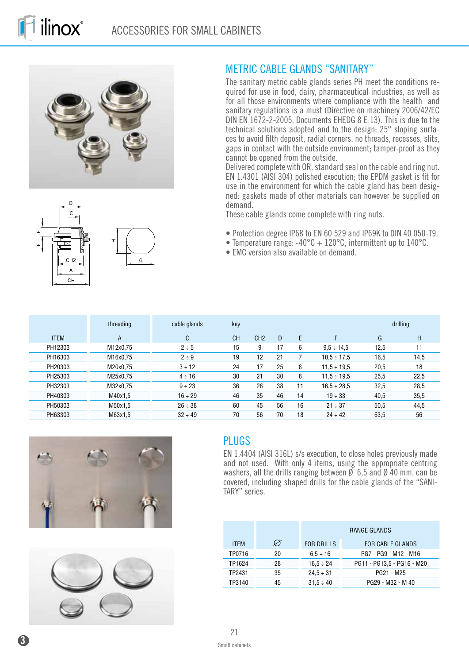

 $\overline{G}$ 

 $\mathbf{c}$ 

CH<sub>2</sub>

 $\Delta$  $CH$ 



The sanitary metric cable glands series PH meet the conditions required for use in food, dairy, pharmaceutical industries, as well as for all those environments where compliance with the health and sanitary regulations is a must (Directive on machinery 2006/42/EC DIN EN 1672-2-2005, Documents EHEDG 8 E 13). This is due to the technical solutions adopted and to the design: 25° sloping surfaces to avoid filth deposit, radial corners, no threads, recesses, slits, gaps in contact with the outside environment; tamper-proof as they cannot be opened from the outside.

Delivered complete with OR, standard seal on the cable and ring nut. EN 1.4301 (AISI 304) polished execution; the EPDM gasket is fit for use in the environment for which the cable gland has been designed: gaskets made of other materials can however be supplied on demand.

These cable glands come complete with ring nuts.

- Protection degree IP68 to EN 60 529 and IP69K to DIN 40 050-T9.
- Temperature range:  $-40^{\circ}C + 120^{\circ}C$ , intermittent up to 140 $^{\circ}C$ .
- EMC version also available on demand.

|             | threading | cable glands | key       |                 |    |    |                  |      | drilling |
|-------------|-----------|--------------|-----------|-----------------|----|----|------------------|------|----------|
| <b>ITEM</b> | A         | C            | <b>CH</b> | CH <sub>2</sub> | D  | E  | F                | G    | H.       |
| PH12303     | M12x0,75  | $2 \div 5$   | 15        | 9               | 17 | 6  | $9.5 \div 14.5$  | 12.5 | 11       |
| PH16303     | M16x0,75  | $2 \div 9$   | 19        | 12              | 21 |    | $10.5 \div 17.5$ | 16,5 | 14,5     |
| PH20303     | M20x0,75  | $3 \div 12$  | 24        | 17              | 25 | 8  | $11.5 \div 19.5$ | 20,5 | 18       |
| PH25303     | M25x0,75  | $4 \div 16$  | 30        | 21              | 30 | 8  | $11.5 \div 19.5$ | 25,5 | 22,5     |
| PH32303     | M32x0,75  | $9 \div 23$  | 36        | 28              | 38 | 11 | $16.5 \div 28.5$ | 32,5 | 28,5     |
| PH40303     | M40x1,5   | $16 \div 29$ | 46        | 35              | 46 | 14 | $19 \div 33$     | 40,5 | 35,5     |
| PH50303     | M50x1,5   | $26 \div 38$ | 60        | 45              | 56 | 16 | $21 \div 37$     | 50,5 | 44,5     |
| PH63303     | M63x1,5   | $32 \div 49$ | 70        | 56              | 70 | 18 | $24 \div 42$     | 63,5 | 56       |





### PLUGS

EN 1.4404 (AISI 316L) s/s execution, to close holes previously made and not used. With only 4 items, using the appropriate centring washers, all the drills ranging between  $\emptyset$  6,5 and  $\emptyset$  40 mm. can be covered, including shaped drills for the cable glands of the "SANI-TARY" series.

|             |               | RANGE GLANDS      |                            |  |  |  |
|-------------|---------------|-------------------|----------------------------|--|--|--|
| <b>ITEM</b> | $\varnothing$ | <b>FOR DRILLS</b> | <b>FOR CABLE GLANDS</b>    |  |  |  |
| TP0716      | 20            | $6.5 \div 16$     | PG7 - PG9 - M12 - M16      |  |  |  |
| TP1624      | 28            | $16.5 \div 24$    | PG11 - PG13.5 - PG16 - M20 |  |  |  |
| TP2431      | 35            | $24.5 \div 31$    | PG21 - M25                 |  |  |  |
| TP3140      | 45            | $31.5 \div 40$    | PG29 - M32 - M40           |  |  |  |